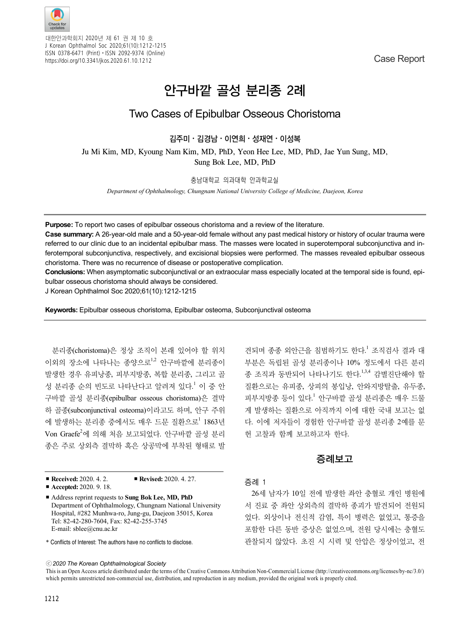

대한안과학회지 2020년 제 61 권 제 10 호 J Korean Ophthalmol Soc 2020;61(10):1212-1215 ISSN 0378-6471 (Print)⋅ISSN 2092-9374 (Online) https://doi.org/10.3341/jkos.2020.61.10.1212

# 안구바깥 골성 분리종 2례

# Two Cases of Epibulbar Osseous Choristoma

김주미⋅김경남⋅이연희⋅성재연⋅이성복

Ju Mi Kim, MD, Kyoung Nam Kim, MD, PhD, Yeon Hee Lee, MD, PhD, Jae Yun Sung, MD, Sung Bok Lee, MD, PhD

충남대학교 의과대학 안과학교실

*Department of Ophthalmology, Chungnam National University College of Medicine, Daejeon, Korea*

**Purpose:** To report two cases of epibulbar osseous choristoma and a review of the literature.

**Case summary:** A 26-year-old male and a 50-year-old female without any past medical history or history of ocular trauma were referred to our clinic due to an incidental epibulbar mass. The masses were located in superotemporal subconjunctiva and inferotemporal subconjunctiva, respectively, and excisional biopsies were performed. The masses revealed epibulbar osseous choristoma. There was no recurrence of disease or postoperative complication.

**Conclusions:** When asymptomatic subconjunctival or an extraocular mass especially located at the temporal side is found, epibulbar osseous choristoma should always be considered.

J Korean Ophthalmol Soc 2020;61(10):1212-1215

**Keywords:** Epibulbar osseous choristoma, Epibulbar osteoma, Subconjunctival osteoma

분리종(choristoma)은 정상 조직이 본래 있어야 할 위치 이외의 장소에 나타나는 종양으로1,2 안구바깥에 분리종이 발생한 경우 유피낭종, 피부지방종, 복합 분리종, 그리고 골 성 분리종 순의 빈도로 나타난다고 알려져 있다.<sup>!</sup> 이 중 안 구바깥 골성 분리종(epibulbar osseous choristoma)은 결막 하 골종(subconjunctival osteoma)이라고도 하며, 안구 주위 에 발생하는 분리종 중에서도 매우 드문 질환으로<sup>1</sup> 1863년 Von Graefe<sup>2</sup>에 의해 처음 보고되었다. 안구바깥 골성 분리 종은 주로 상외측 결막하 혹은 상공막에 부착된 형태로 발

- **Received:** 2020. 4. 2. **Revised:** 2020. 4. 27.
- **Accepted:** 2020. 9. 18.
- Address reprint requests to **Sung Bok Lee, MD, PhD** Department of Ophthalmology, Chungnam National University Hospital, #282 Munhwa-ro, Jung-gu, Daejeon 35015, Korea Tel: 82-42-280-7604, Fax: 82-42-255-3745 E-mail: sblee@cnu.ac.kr
- \* Conflicts of Interest: The authors have no conflicts to disclose.

ⓒ*2020 The Korean Ophthalmological Society*

견되며 종종 외안근을 침범하기도 한다. <sup>1</sup> 조직검사 결과 대 부분은 독립된 골성 분리종이나 10% 정도에서 다른 분리 종 조직과 동반되어 나타나기도 한다.<sup>1,3,4</sup> 감별진단해야 할 질환으로는 유피종, 상피의 봉입낭, 안와지방탈출, 유두종, 피부지방종 등이 있다.<sup>1</sup> 안구바깥 골성 분리종은 매우 드물 게 발생하는 질환으로 아직까지 이에 대한 국내 보고는 없 다. 이에 저자들이 경험한 안구바깥 골성 분리종 2예를 문 헌 고찰과 함께 보고하고자 한다.

### 증례보고

#### 증례 1

26세 남자가 10일 전에 발생한 좌안 충혈로 개인 병원에 서 진료 중 좌안 상외측의 결막하 종괴가 발견되어 전원되 었다. 외상이나 전신적 감염, 특이 병력은 없었고, 통증을 포함한 다른 동반 증상은 없었으며, 전원 당시에는 충혈도 관찰되지 않았다. 초진 시 시력 및 안압은 정상이었고, 전

This is an Open Access article distributed under the terms of the Creative Commons Attribution Non-Commercial License (http://creativecommons.org/licenses/by-nc/3.0/) which permits unrestricted non-commercial use, distribution, and reproduction in any medium, provided the original work is properly cited.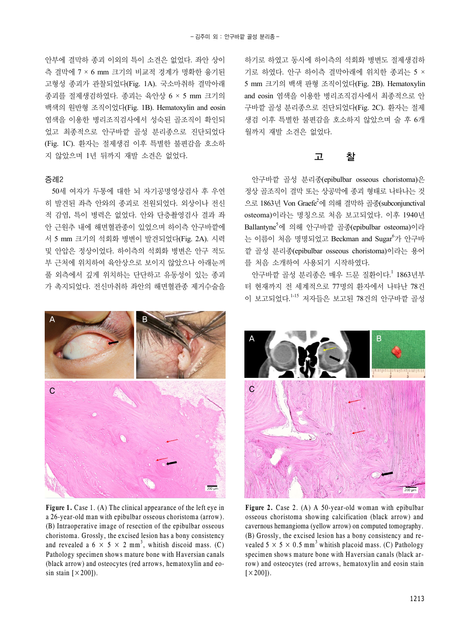안부에 결막하 종괴 이외의 특이 소견은 없었다. 좌안 상이 측 결막에 7 × 6 mm 크기의 비교적 경계가 명확한 융기된 고형성 종괴가 관찰되었다(Fig. 1A). 국소마취하 결막아래 종괴를 절제생검하였다. 종괴는 육안상 6 × 5 mm 크기의 백색의 원반형 조직이었다(Fig. 1B). Hematoxylin and eosin 염색을 이용한 병리조직검사에서 성숙된 골조직이 확인되 었고 최종적으로 안구바깥 골성 분리종으로 진단되었다 (Fig. 1C). 환자는 절제생검 이후 특별한 불편감을 호소하 지 않았으며 1년 뒤까지 재발 소견은 없었다.

#### 증례2

50세 여자가 두통에 대한 뇌 자기공명영상검사 후 우연 히 발견된 좌측 안와의 종괴로 전원되었다. 외상이나 전신 적 감염, 특이 병력은 없었다. 안와 단층촬영검사 결과 좌 안 근원추 내에 해면혈관종이 있었으며 하이측 안구바깥에 서 5 mm 크기의 석회화 병변이 발견되었다(Fig. 2A). 시력 및 안압은 정상이었다. 하이측의 석회화 병변은 안구 적도 부 근처에 위치하여 육안상으로 보이지 않았으나 아래눈꺼 풀 외측에서 깊게 위치하는 단단하고 유동성이 있는 종괴 가 촉지되었다. 전신마취하 좌안의 해면혈관종 제거수술을



**Figure 1.** Case 1. (A) The clinical appearance of the left eye in a 26-year-old man with epibulbar osseous choristoma (arrow). (B) Intraoperative image of resection of the epibulbar osseous choristoma. Grossly, the excised lesion has a bony consistency and revealed a  $6 \times 5 \times 2 \text{ mm}^3$ , whitish discoid mass. (C) Pathology specimen shows mature bone with Haversian canals (black arrow) and osteocytes (red arrows, hematoxylin and eosin stain  $[x 200]$ ).

하기로 하였고 동시에 하이측의 석회화 병변도 절제생검하 기로 하였다. 안구 하이측 결막아래에 위치한 종괴는 5 × 5 mm 크기의 백색 판형 조직이었다(Fig. 2B). Hematoxylin and eosin 염색을 이용한 병리조직검사에서 최종적으로 안 구바깥 골성 분리종으로 진단되었다(Fig. 2C). 환자는 절제 생검 이후 특별한 불편감을 호소하지 않았으며 술 후 6개 월까지 재발 소견은 없었다.

## 고 찰

안구바깥 골성 분리종(epibulbar osseous choristoma)은 정상 골조직이 결막 또는 상공막에 종괴 형태로 나타나는 것 으로 1863년 Von Graefe<sup>2</sup>에 의해 결막하 골종(subconjunctival osteoma)이라는 명칭으로 처음 보고되었다. 이후 1940년 Ballantyne<sup>5</sup>에 의해 안구바깥 골종(epibulbar osteoma)이라 는 이름이 처음 명명되었고 Beckman and Sugar<sup>6</sup>가 안구바 깥 골성 분리종(epibulbar osseous choristoma)이라는 용어 를 처음 소개하여 사용되기 시작하였다.

안구바깥 골성 분리종은 매우 드문 질환이다. 1 1863년부 터 현재까지 전 세계적으로 77명의 환자에서 나타난 78건 이 보고되었다. 1-15 저자들은 보고된 78건의 안구바깥 골성



**Figure 2.** Case 2. (A) A 50-year-old woman with epibulbar osseous choristoma showing calcification (black arrow) and cavernous hemangioma (yellow arrow) on computed tomography. (B) Grossly, the excised lesion has a bony consistency and revealed  $5 \times 5 \times 0.5$  mm<sup>3</sup> whitish placoid mass. (C) Pathology specimen shows mature bone with Haversian canals (black arrow) and osteocytes (red arrows, hematoxylin and eosin stain  $\lceil \times 200 \rceil$ ).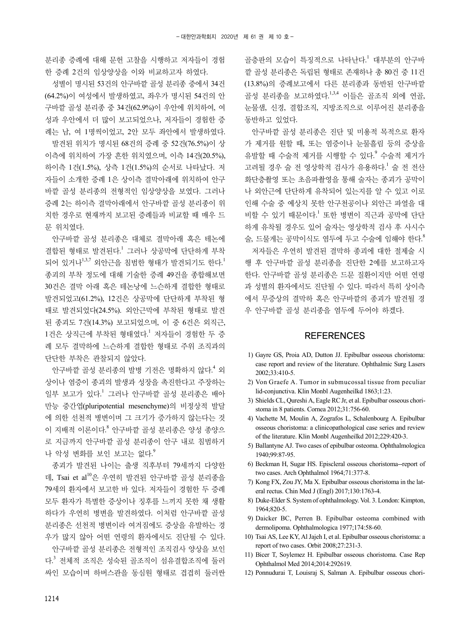분리종 증례에 대해 문헌 고찰을 시행하고 저자들이 경험 한 증례 2건의 임상양상을 이와 비교하고자 하였다.

성별이 명시된 53건의 안구바깥 골성 분리종 중에서 34건 (64.2%)이 여성에서 발생하였고, 좌우가 명시된 54건의 안 구바깥 골성 분리종 중 34건(62.9%)이 우안에 위치하여, 여 성과 우안에서 더 많이 보고되었으나, 저자들이 경험한 증 례는 남, 여 1명씩이었고, 2안 모두 좌안에서 발생하였다. 발견된 위치가 명시된 68건의 증례 중 52건(76.5%)이 상 이측에 위치하여 가장 흔한 위치였으며, 이측 14건(20.5%), 하이측 1건(1.5%), 상측 1건(1.5%)의 순서로 나타났다. 저 자들이 소개한 증례 1은 상이측 결막아래에 위치하여 안구 바깥 골성 분리종의 전형적인 임상양상을 보였다. 그러나 증례 2는 하이측 결막아래에서 안구바깥 골성 분리종이 위 치한 경우로 현재까지 보고된 증례들과 비교할 때 매우 드 문 위치였다.

안구바깥 골성 분리종은 대체로 결막아래 혹은 테논에 결합된 형태로 발견된다. <sup>1</sup> 그러나 상공막에 단단하게 부착 되어 있거나 $^{1,3,7}$  외안근을 침범한 형태가 발견되기도 한다. $^1$ 종괴의 부착 정도에 대해 기술한 증례 49건을 종합해보면 30건은 결막 아래 혹은 테논낭에 느슨하게 결합한 형태로 발견되었고(61.2%), 12건은 상공막에 단단하게 부착된 형 태로 발견되었다(24.5%). 외안근막에 부착된 형태로 발견 된 종괴도 7건(14.3%) 보고되었으며, 이 중 6건은 외직근, 1건은 상직근에 부착된 형태였다.<sup>1</sup> 저자들이 경험한 두 증 례 모두 결막하에 느슨하게 결합한 형태로 주위 조직과의 단단한 부착은 관찰되지 않았다.

안구바깥 골성 분리종의 발병 기전은 명확하지 않다.<sup>4</sup> 외 상이나 염증이 종괴의 발생과 성장을 촉진한다고 주장하는 일부 보고가 있다. <sup>1</sup> 그러나 안구바깥 골성 분리종은 배아 만능 중간엽(pluripotential mesenchyme)의 비정상적 발달 에 의한 선천적 병변이며 그 크기가 증가하지 않는다는 것 이 지배적 이론이다. <sup>8</sup> 안구바깥 골성 분리종은 양성 종양으 로 지금까지 안구바깥 골성 분리종이 안구 내로 침범하거 나 악성 변화를 보인 보고는 없다. 9

종괴가 발견된 나이는 출생 직후부터 79세까지 다양한 데, Tsai et al10은 우연히 발견된 안구바깥 골성 분리종을 79세의 환자에서 보고한 바 있다. 저자들이 경험한 두 증례 모두 환자가 특별한 증상이나 징후를 느끼지 못한 채 생활 하다가 우연히 병변을 발견하였다. 이처럼 안구바깥 골성 분리종은 선천적 병변이라 여겨짐에도 증상을 유발하는 경 우가 많지 않아 어떤 연령의 환자에서도 진단될 수 있다.

안구바깥 골성 분리종은 전형적인 조직검사 양상을 보인 다. <sup>3</sup> 전체적 조직은 성숙된 골조직이 섬유결합조직에 둘러 싸인 모습이며 하버스관을 동심원 형태로 겹겹히 둘러싼

골층판의 모습이 특징적으로 나타난다. <sup>1</sup> 대부분의 안구바 깥 골성 분리종은 독립된 형태로 존재하나 총 80건 중 11건 (13.8%)의 증례보고에서 다른 분리종과 동반된 안구바깥 골성 분리종을 보고하였다.<sup>1,3,4</sup> 이들은 골조직 외에 연골, 눈물샘, 신경, 결합조직, 지방조직으로 이루어진 분리종을 동반하고 있었다.

안구바깥 골성 분리종은 진단 및 미용적 목적으로 환자 가 제거를 원할 때, 또는 염증이나 눈물흘림 등의 증상을 유발할 때 수술적 제거를 시행할 수 있다.<sup>9</sup> 수술적 제거가 고려될 경우 술 전 영상학적 검사가 유용하다.<sup>1</sup> 술 전 전산 화단층촬영 또는 초음파촬영을 통해 술자는 종괴가 공막이 나 외안근에 단단하게 유착되어 있는지를 알 수 있고 이로 인해 수술 중 예상치 못한 안구천공이나 외안근 파열을 대 비할 수 있기 때문이다. <sup>1</sup> 또한 병변이 직근과 공막에 단단 하게 유착될 경우도 있어 술자는 영상학적 검사 후 사시수 술, 드물게는 공막이식도 염두에 두고 수술에 임해야 한다.<sup>8</sup>

저자들은 우연히 발견된 결막하 종괴에 대한 절제술 시 행 후 안구바깥 골성 분리종을 진단한 2예를 보고하고자 한다. 안구바깥 골성 분리종은 드문 질환이지만 어떤 연령 과 성별의 환자에서도 진단될 수 있다. 따라서 특히 상이측 에서 무증상의 결막하 혹은 안구바깥의 종괴가 발견될 경 우 안구바깥 골성 분리종을 염두에 두어야 하겠다.

## **REFERENCES**

- 1) Gayre GS, Proia AD, Dutton JJ. Epibulbar osseous choristoma: case report and review of the literature. Ophthalmic Surg Lasers 2002;33:410-5.
- 2) Von Graefe A. Tumor in submucossal tissue from peculiar lid-conjunctiva. Klin Monbl Augenheilkd 1863;1:23.
- 3) Shields CL, Qureshi A, Eagle RC Jr, et al. Epibulbar osseous choristoma in 8 patients. Cornea 2012;31:756-60.
- 4) Vachette M, Moulin A, Zografos L, Schalenbourg A. Epibulbar osseous choristoma: a clinicopathological case series and review of the literature. Klin Monbl Augenheilkd 2012;229:420-3.
- 5) Ballantyne AJ. Two cases of epibulbar osteoma. Ophthalmologica 1940;99:87-95.
- 6) Beckman H, Sugar HS. Episcleral osseous choristoma--report of two cases. Arch Ophthalmol 1964;71:377-8.
- 7) Kong FX, Zou JY, Ma X. Epibulbar osseous choristoma in the lateral rectus. Chin Med J (Engl) 2017;130:1763-4.
- 8) Duke-Elder S. System of ophthalmology. Vol. 3. London: Kimpton, 1964;820-5.
- 9) Daicker BC, Perren B. Epibulbar osteoma combined with dermolipoma. Ophthalmologica 1977;174:58-60.
- 10) Tsai AS, Lee KY, Al Jajeh I, et al. Epibulbar osseous choristoma: a report of two cases. Orbit 2008;27:231-3.
- 11) Bicer T, Soylemez H. Epibulbar osseous choristoma. Case Rep Ophthalmol Med 2014;2014:292619.
- 12) Ponnudurai T, Louisraj S, Salman A. Epibulbar osseous chori-